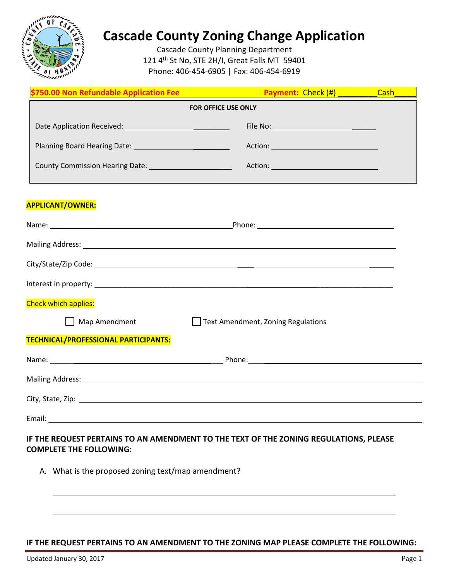

# **Cascade County Zoning Change Application**

Cascade County Planning Department 121 4th St No, STE 2H/I, Great Falls MT 59401 Phone: 406-454-6905 | Fax: 406-454-6919

| \$750.00 Non Refundable Application Fee <b>Constitution</b>                                                                                                                                                                    | <b>Payment: Check (#)</b>                                                                                                                                                                                                     | <b>Cash</b> |
|--------------------------------------------------------------------------------------------------------------------------------------------------------------------------------------------------------------------------------|-------------------------------------------------------------------------------------------------------------------------------------------------------------------------------------------------------------------------------|-------------|
| FOR OFFICE USE ONLY                                                                                                                                                                                                            |                                                                                                                                                                                                                               |             |
|                                                                                                                                                                                                                                | File No: 2008                                                                                                                                                                                                                 |             |
|                                                                                                                                                                                                                                |                                                                                                                                                                                                                               |             |
|                                                                                                                                                                                                                                |                                                                                                                                                                                                                               |             |
| <b>APPLICANT/OWNER:</b>                                                                                                                                                                                                        |                                                                                                                                                                                                                               |             |
|                                                                                                                                                                                                                                | Name: Name: Name: Name: Name: Name: Name: Name: Name: Name: Name: Name: Name: Name: Name: Name: Name: Name: Name: Name: Name: Name: Name: Name: Name: Name: Name: Name: Name: Name: Name: Name: Name: Name: Name: Name: Name: |             |
|                                                                                                                                                                                                                                | Mailing Address: 1988 March 2014 March 2014 March 2014 March 2014 March 2014 March 2014 March 2014 March 2015                                                                                                                 |             |
|                                                                                                                                                                                                                                |                                                                                                                                                                                                                               |             |
|                                                                                                                                                                                                                                |                                                                                                                                                                                                                               |             |
| <b>Check which applies:</b>                                                                                                                                                                                                    |                                                                                                                                                                                                                               |             |
| Map Amendment                                                                                                                                                                                                                  | <b>Text Amendment, Zoning Regulations</b>                                                                                                                                                                                     |             |
| TECHNICAL/PROFESSIONAL PARTICIPANTS:                                                                                                                                                                                           |                                                                                                                                                                                                                               |             |
|                                                                                                                                                                                                                                |                                                                                                                                                                                                                               |             |
| Mailing Address: 1988 Communication of the Communication of the Communication of the Communication of the Communication of the Communication of the Communication of the Communication of the Communication of the Communicati |                                                                                                                                                                                                                               |             |
|                                                                                                                                                                                                                                |                                                                                                                                                                                                                               |             |
|                                                                                                                                                                                                                                |                                                                                                                                                                                                                               |             |

# **IF THE REQUEST PERTAINS TO AN AMENDMENT TO THE TEXT OF THE ZONING REGULATIONS, PLEASE COMPLETE THE FOLLOWING:**

A. What is the proposed zoning text/map amendment?

# **IF THE REQUEST PERTAINS TO AN AMENDMENT TO THE ZONING MAP PLEASE COMPLETE THE FOLLOWING:**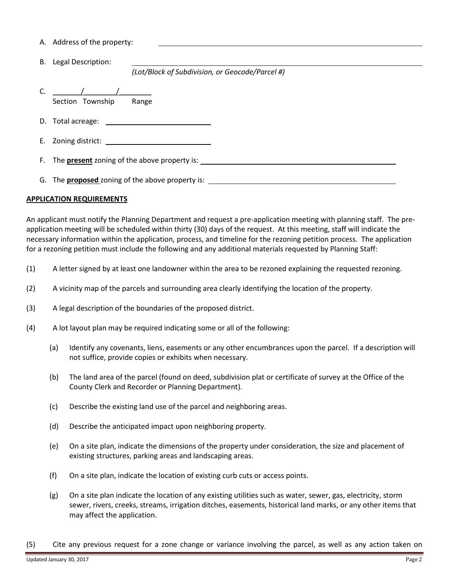|    | A. Address of the property:                                                             |                                                 |  |
|----|-----------------------------------------------------------------------------------------|-------------------------------------------------|--|
| В. | Legal Description:                                                                      |                                                 |  |
|    |                                                                                         | (Lot/Block of Subdivision, or Geocode/Parcel #) |  |
|    | Section Township                                                                        | Range                                           |  |
|    |                                                                                         |                                                 |  |
|    |                                                                                         |                                                 |  |
|    | F. The <b>present</b> zoning of the above property is: ________________________________ |                                                 |  |
|    | G. The <b>proposed</b> zoning of the above property is:                                 |                                                 |  |

#### **APPLICATION REQUIREMENTS**

An applicant must notify the Planning Department and request a pre-application meeting with planning staff. The preapplication meeting will be scheduled within thirty (30) days of the request. At this meeting, staff will indicate the necessary information within the application, process, and timeline for the rezoning petition process. The application for a rezoning petition must include the following and any additional materials requested by Planning Staff:

- (1) A letter signed by at least one landowner within the area to be rezoned explaining the requested rezoning.
- (2) A vicinity map of the parcels and surrounding area clearly identifying the location of the property.
- (3) A legal description of the boundaries of the proposed district.
- (4) A lot layout plan may be required indicating some or all of the following:
	- (a) Identify any covenants, liens, easements or any other encumbrances upon the parcel. If a description will not suffice, provide copies or exhibits when necessary.
	- (b) The land area of the parcel (found on deed, subdivision plat or certificate of survey at the Office of the County Clerk and Recorder or Planning Department).
	- (c) Describe the existing land use of the parcel and neighboring areas.
	- (d) Describe the anticipated impact upon neighboring property.
	- (e) On a site plan, indicate the dimensions of the property under consideration, the size and placement of existing structures, parking areas and landscaping areas.
	- (f) On a site plan, indicate the location of existing curb cuts or access points.
	- (g) On a site plan indicate the location of any existing utilities such as water, sewer, gas, electricity, storm sewer, rivers, creeks, streams, irrigation ditches, easements, historical land marks, or any other items that may affect the application.
- (5) Cite any previous request for a zone change or variance involving the parcel, as well as any action taken on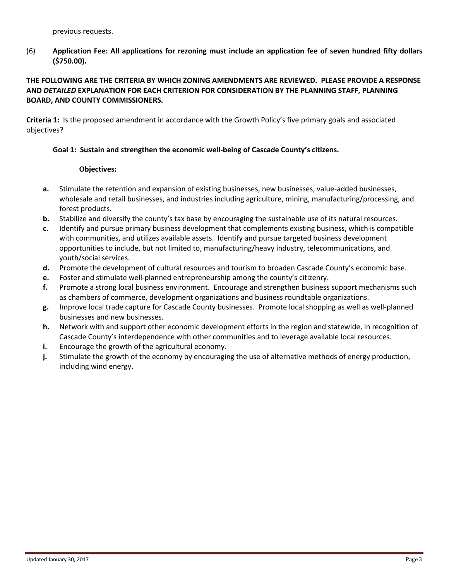(6) **Application Fee: All applications for rezoning must include an application fee of seven hundred fifty dollars (\$750.00).**

## **THE FOLLOWING ARE THE CRITERIA BY WHICH ZONING AMENDMENTS ARE REVIEWED. PLEASE PROVIDE A RESPONSE AND** *DETAILED* **EXPLANATION FOR EACH CRITERION FOR CONSIDERATION BY THE PLANNING STAFF, PLANNING BOARD, AND COUNTY COMMISSIONERS.**

**Criteria 1:** Is the proposed amendment in accordance with the Growth Policy's five primary goals and associated objectives?

#### **Goal 1: Sustain and strengthen the economic well-being of Cascade County's citizens.**

#### **Objectives:**

- **a.** Stimulate the retention and expansion of existing businesses, new businesses, value-added businesses, wholesale and retail businesses, and industries including agriculture, mining, manufacturing/processing, and forest products.
- **b.** Stabilize and diversify the county's tax base by encouraging the sustainable use of its natural resources.
- **c.** Identify and pursue primary business development that complements existing business, which is compatible with communities, and utilizes available assets. Identify and pursue targeted business development opportunities to include, but not limited to, manufacturing/heavy industry, telecommunications, and youth/social services.
- **d.** Promote the development of cultural resources and tourism to broaden Cascade County's economic base.
- **e.** Foster and stimulate well-planned entrepreneurship among the county's citizenry.
- **f.** Promote a strong local business environment. Encourage and strengthen business support mechanisms such as chambers of commerce, development organizations and business roundtable organizations.
- **g.** Improve local trade capture for Cascade County businesses. Promote local shopping as well as well-planned businesses and new businesses.
- **h.** Network with and support other economic development efforts in the region and statewide, in recognition of Cascade County's interdependence with other communities and to leverage available local resources.
- **i.** Encourage the growth of the agricultural economy.
- **j.** Stimulate the growth of the economy by encouraging the use of alternative methods of energy production, including wind energy.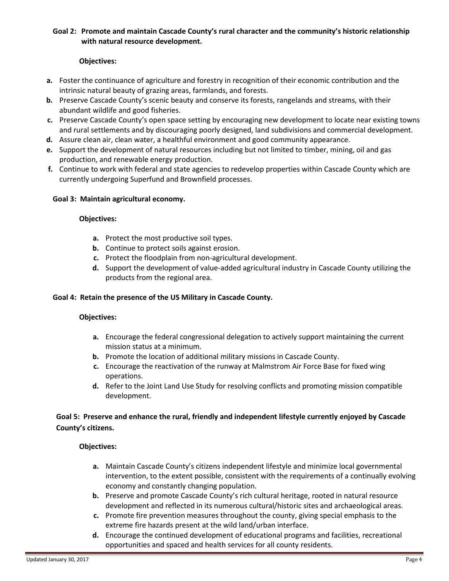## **Goal 2: Promote and maintain Cascade County's rural character and the community's historic relationship with natural resource development.**

#### **Objectives:**

- **a.** Foster the continuance of agriculture and forestry in recognition of their economic contribution and the intrinsic natural beauty of grazing areas, farmlands, and forests.
- **b.** Preserve Cascade County's scenic beauty and conserve its forests, rangelands and streams, with their abundant wildlife and good fisheries.
- **c.** Preserve Cascade County's open space setting by encouraging new development to locate near existing towns and rural settlements and by discouraging poorly designed, land subdivisions and commercial development.
- **d.** Assure clean air, clean water, a healthful environment and good community appearance.
- **e.** Support the development of natural resources including but not limited to timber, mining, oil and gas production, and renewable energy production.
- **f.** Continue to work with federal and state agencies to redevelop properties within Cascade County which are currently undergoing Superfund and Brownfield processes.

#### **Goal 3: Maintain agricultural economy.**

#### **Objectives:**

- **a.** Protect the most productive soil types.
- **b.** Continue to protect soils against erosion.
- **c.** Protect the floodplain from non-agricultural development.
- **d.** Support the development of value-added agricultural industry in Cascade County utilizing the products from the regional area.

#### **Goal 4: Retain the presence of the US Military in Cascade County.**

#### **Objectives:**

- **a.** Encourage the federal congressional delegation to actively support maintaining the current mission status at a minimum.
- **b.** Promote the location of additional military missions in Cascade County.
- **c.** Encourage the reactivation of the runway at Malmstrom Air Force Base for fixed wing operations.
- **d.** Refer to the Joint Land Use Study for resolving conflicts and promoting mission compatible development.

## **Goal 5: Preserve and enhance the rural, friendly and independent lifestyle currently enjoyed by Cascade County's citizens.**

#### **Objectives:**

- **a.** Maintain Cascade County's citizens independent lifestyle and minimize local governmental intervention, to the extent possible, consistent with the requirements of a continually evolving economy and constantly changing population.
- **b.** Preserve and promote Cascade County's rich cultural heritage, rooted in natural resource development and reflected in its numerous cultural/historic sites and archaeological areas.
- **c.** Promote fire prevention measures throughout the county, giving special emphasis to the extreme fire hazards present at the wild land/urban interface.
- **d.** Encourage the continued development of educational programs and facilities, recreational opportunities and spaced and health services for all county residents.